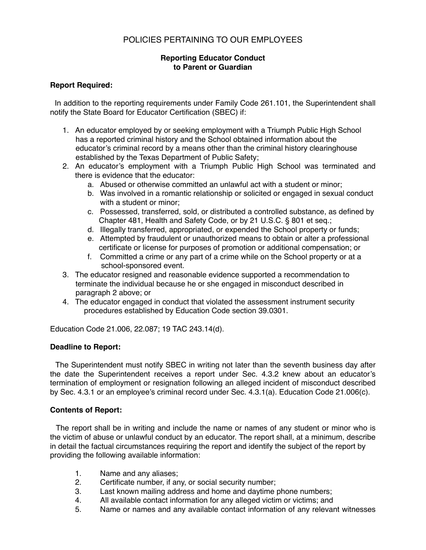# POLICIES PERTAINING TO OUR EMPLOYEES

## **Reporting Educator Conduct to Parent or Guardian**

#### **Report Required:**

 In addition to the reporting requirements under Family Code 261.101, the Superintendent shall notify the State Board for Educator Certification (SBEC) if:

- 1. An educator employed by or seeking employment with a Triumph Public High School has a reported criminal history and the School obtained information about the educator's criminal record by a means other than the criminal history clearinghouse established by the Texas Department of Public Safety;
- 2. An educator's employment with a Triumph Public High School was terminated and there is evidence that the educator:
	- a. Abused or otherwise committed an unlawful act with a student or minor;
	- b. Was involved in a romantic relationship or solicited or engaged in sexual conduct with a student or minor;
	- c. Possessed, transferred, sold, or distributed a controlled substance, as defined by Chapter 481, Health and Safety Code, or by 21 U.S.C. § 801 et seq.;
	- d. Illegally transferred, appropriated, or expended the School property or funds;
	- e. Attempted by fraudulent or unauthorized means to obtain or alter a professional certificate or license for purposes of promotion or additional compensation; or
	- f. Committed a crime or any part of a crime while on the School property or at a school-sponsored event.
- 3. The educator resigned and reasonable evidence supported a recommendation to terminate the individual because he or she engaged in misconduct described in paragraph 2 above; or
- 4. The educator engaged in conduct that violated the assessment instrument security procedures established by Education Code section 39.0301.

Education Code 21.006, 22.087; 19 TAC 243.14(d).

#### **Deadline to Report:**

 The Superintendent must notify SBEC in writing not later than the seventh business day after the date the Superintendent receives a report under Sec. 4.3.2 knew about an educator's termination of employment or resignation following an alleged incident of misconduct described by Sec. 4.3.1 or an employee's criminal record under Sec. 4.3.1(a). Education Code 21.006(c).

#### **Contents of Report:**

 The report shall be in writing and include the name or names of any student or minor who is the victim of abuse or unlawful conduct by an educator. The report shall, at a minimum, describe in detail the factual circumstances requiring the report and identify the subject of the report by providing the following available information:

- 1. Name and any aliases;
- 2. Certificate number, if any, or social security number;
- 3. Last known mailing address and home and daytime phone numbers;
- 4. All available contact information for any alleged victim or victims; and
- 5. Name or names and any available contact information of any relevant witnesses